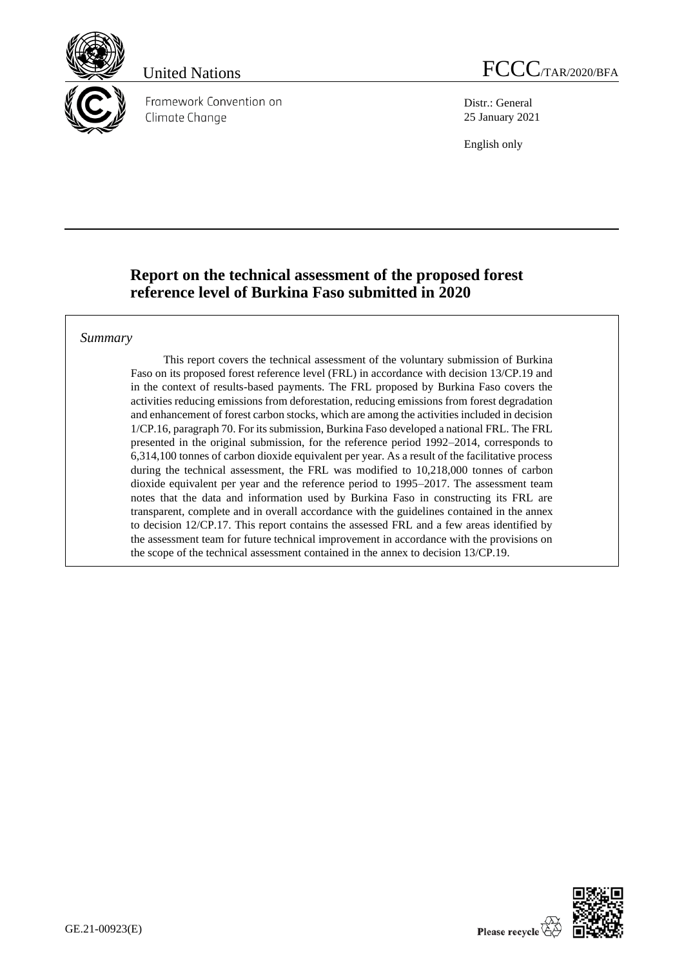

Framework Convention on Climate Change

Distr.: General 25 January 2021

English only

# **Report on the technical assessment of the proposed forest reference level of Burkina Faso submitted in 2020**

### *Summary*

This report covers the technical assessment of the voluntary submission of Burkina Faso on its proposed forest reference level (FRL) in accordance with decision 13/CP.19 and in the context of results-based payments. The FRL proposed by Burkina Faso covers the activities reducing emissions from deforestation, reducing emissions from forest degradation and enhancement of forest carbon stocks, which are among the activities included in decision 1/CP.16, paragraph 70. For its submission, Burkina Faso developed a national FRL. The FRL presented in the original submission, for the reference period 1992–2014, corresponds to 6,314,100 tonnes of carbon dioxide equivalent per year. As a result of the facilitative process during the technical assessment, the FRL was modified to 10,218,000 tonnes of carbon dioxide equivalent per year and the reference period to 1995–2017. The assessment team notes that the data and information used by Burkina Faso in constructing its FRL are transparent, complete and in overall accordance with the guidelines contained in the annex to decision 12/CP.17. This report contains the assessed FRL and a few areas identified by the assessment team for future technical improvement in accordance with the provisions on the scope of the technical assessment contained in the annex to decision 13/CP.19.

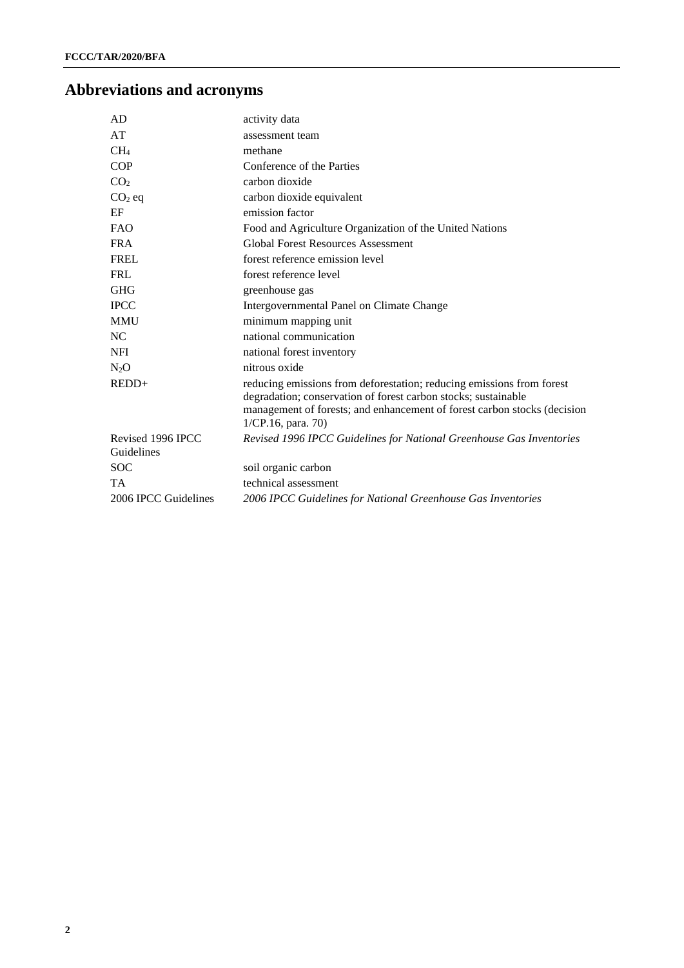# **Abbreviations and acronyms**

| AD                              | activity data                                                                                                                                                                                                                                |  |  |
|---------------------------------|----------------------------------------------------------------------------------------------------------------------------------------------------------------------------------------------------------------------------------------------|--|--|
| AT                              | assessment team                                                                                                                                                                                                                              |  |  |
| CH <sub>4</sub>                 | methane                                                                                                                                                                                                                                      |  |  |
| <b>COP</b>                      | Conference of the Parties                                                                                                                                                                                                                    |  |  |
| CO <sub>2</sub>                 | carbon dioxide                                                                                                                                                                                                                               |  |  |
| $CO2$ eq                        | carbon dioxide equivalent                                                                                                                                                                                                                    |  |  |
| EF                              | emission factor                                                                                                                                                                                                                              |  |  |
| <b>FAO</b>                      | Food and Agriculture Organization of the United Nations                                                                                                                                                                                      |  |  |
| <b>FRA</b>                      | <b>Global Forest Resources Assessment</b>                                                                                                                                                                                                    |  |  |
| <b>FREL</b>                     | forest reference emission level                                                                                                                                                                                                              |  |  |
| <b>FRL</b>                      | forest reference level                                                                                                                                                                                                                       |  |  |
| <b>GHG</b>                      | greenhouse gas                                                                                                                                                                                                                               |  |  |
| <b>IPCC</b>                     | Intergovernmental Panel on Climate Change                                                                                                                                                                                                    |  |  |
| <b>MMU</b>                      | minimum mapping unit                                                                                                                                                                                                                         |  |  |
| NC                              | national communication                                                                                                                                                                                                                       |  |  |
| <b>NFI</b>                      | national forest inventory                                                                                                                                                                                                                    |  |  |
| $N_2O$                          | nitrous oxide                                                                                                                                                                                                                                |  |  |
| $REDD+$                         | reducing emissions from deforestation; reducing emissions from forest<br>degradation; conservation of forest carbon stocks; sustainable<br>management of forests; and enhancement of forest carbon stocks (decision<br>$1/CP.16$ , para. 70) |  |  |
| Revised 1996 IPCC<br>Guidelines | Revised 1996 IPCC Guidelines for National Greenhouse Gas Inventories                                                                                                                                                                         |  |  |
| <b>SOC</b>                      | soil organic carbon                                                                                                                                                                                                                          |  |  |
| <b>TA</b>                       | technical assessment                                                                                                                                                                                                                         |  |  |
| 2006 IPCC Guidelines            | 2006 IPCC Guidelines for National Greenhouse Gas Inventories                                                                                                                                                                                 |  |  |
|                                 |                                                                                                                                                                                                                                              |  |  |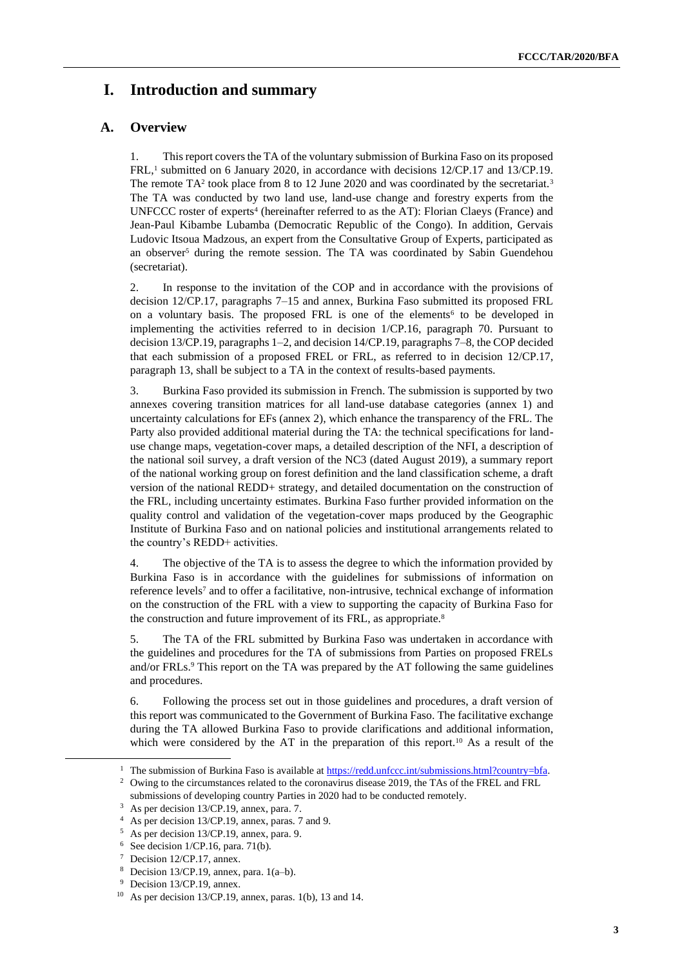# **I. Introduction and summary**

### **A. Overview**

1. This report covers the TA of the voluntary submission of Burkina Faso on its proposed  $FRL$ ,<sup>1</sup> submitted on 6 January 2020, in accordance with decisions  $12/CP.17$  and  $13/CP.19$ . The remote  $TA^2$  took place from 8 to 12 June 2020 and was coordinated by the secretariat.<sup>3</sup> The TA was conducted by two land use, land-use change and forestry experts from the UNFCCC roster of experts<sup>4</sup> (hereinafter referred to as the AT): Florian Claeys (France) and Jean-Paul Kibambe Lubamba (Democratic Republic of the Congo). In addition, Gervais Ludovic Itsoua Madzous, an expert from the Consultative Group of Experts, participated as an observer<sup>5</sup> during the remote session. The TA was coordinated by Sabin Guendehou (secretariat).

2. In response to the invitation of the COP and in accordance with the provisions of decision 12/CP.17, paragraphs 7–15 and annex, Burkina Faso submitted its proposed FRL on a voluntary basis. The proposed FRL is one of the elements<sup>6</sup> to be developed in implementing the activities referred to in decision 1/CP.16, paragraph 70. Pursuant to decision 13/CP.19, paragraphs 1–2, and decision 14/CP.19, paragraphs 7–8, the COP decided that each submission of a proposed FREL or FRL, as referred to in decision 12/CP.17, paragraph 13, shall be subject to a TA in the context of results-based payments.

3. Burkina Faso provided its submission in French. The submission is supported by two annexes covering transition matrices for all land-use database categories (annex 1) and uncertainty calculations for EFs (annex 2), which enhance the transparency of the FRL. The Party also provided additional material during the TA: the technical specifications for landuse change maps, vegetation-cover maps, a detailed description of the NFI, a description of the national soil survey, a draft version of the NC3 (dated August 2019), a summary report of the national working group on forest definition and the land classification scheme, a draft version of the national REDD+ strategy, and detailed documentation on the construction of the FRL, including uncertainty estimates. Burkina Faso further provided information on the quality control and validation of the vegetation-cover maps produced by the Geographic Institute of Burkina Faso and on national policies and institutional arrangements related to the country's REDD+ activities.

4. The objective of the TA is to assess the degree to which the information provided by Burkina Faso is in accordance with the guidelines for submissions of information on reference levels<sup>7</sup> and to offer a facilitative, non-intrusive, technical exchange of information on the construction of the FRL with a view to supporting the capacity of Burkina Faso for the construction and future improvement of its FRL, as appropriate.<sup>8</sup>

5. The TA of the FRL submitted by Burkina Faso was undertaken in accordance with the guidelines and procedures for the TA of submissions from Parties on proposed FRELs and/or FRLs.<sup>9</sup> This report on the TA was prepared by the AT following the same guidelines and procedures.

6. Following the process set out in those guidelines and procedures, a draft version of this report was communicated to the Government of Burkina Faso. The facilitative exchange during the TA allowed Burkina Faso to provide clarifications and additional information, which were considered by the AT in the preparation of this report.<sup>10</sup> As a result of the

<sup>&</sup>lt;sup>1</sup> The submission of Burkina Faso is available a[t https://redd.unfccc.int/submissions.html?country=bfa.](https://redd.unfccc.int/submissions.html?country=bfa)

<sup>&</sup>lt;sup>2</sup> Owing to the circumstances related to the coronavirus disease 2019, the TAs of the FREL and FRL submissions of developing country Parties in 2020 had to be conducted remotely.

As per decision 13/CP.19, annex, para. 7.

<sup>4</sup> As per decision 13/CP.19, annex, paras. 7 and 9.

<sup>5</sup> As per decision 13/CP.19, annex, para. 9.

 $6$  See decision 1/CP.16, para. 71(b).

<sup>7</sup> Decision 12/CP.17, annex.

Decision 13/CP.19, annex, para.  $1(a-b)$ .

<sup>9</sup> Decision 13/CP.19, annex.

<sup>10</sup> As per decision 13/CP.19, annex, paras. 1(b), 13 and 14.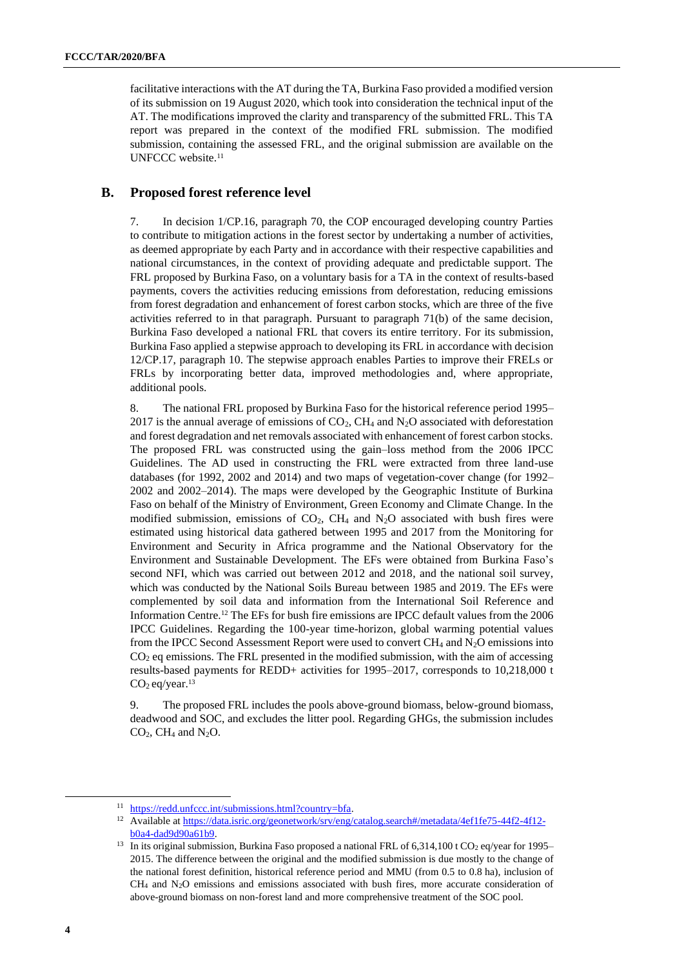facilitative interactions with the AT during the TA, Burkina Faso provided a modified version of its submission on 19 August 2020, which took into consideration the technical input of the AT. The modifications improved the clarity and transparency of the submitted FRL. This TA report was prepared in the context of the modified FRL submission. The modified submission, containing the assessed FRL, and the original submission are available on the UNFCCC website.<sup>11</sup>

#### **B. Proposed forest reference level**

7. In decision 1/CP.16, paragraph 70, the COP encouraged developing country Parties to contribute to mitigation actions in the forest sector by undertaking a number of activities, as deemed appropriate by each Party and in accordance with their respective capabilities and national circumstances, in the context of providing adequate and predictable support. The FRL proposed by Burkina Faso, on a voluntary basis for a TA in the context of results-based payments, covers the activities reducing emissions from deforestation, reducing emissions from forest degradation and enhancement of forest carbon stocks, which are three of the five activities referred to in that paragraph. Pursuant to paragraph 71(b) of the same decision, Burkina Faso developed a national FRL that covers its entire territory. For its submission, Burkina Faso applied a stepwise approach to developing its FRL in accordance with decision 12/CP.17, paragraph 10. The stepwise approach enables Parties to improve their FRELs or FRLs by incorporating better data, improved methodologies and, where appropriate, additional pools.

8. The national FRL proposed by Burkina Faso for the historical reference period 1995– 2017 is the annual average of emissions of  $CO<sub>2</sub>$ , CH<sub>4</sub> and N<sub>2</sub>O associated with deforestation and forest degradation and net removals associated with enhancement of forest carbon stocks. The proposed FRL was constructed using the gain–loss method from the 2006 IPCC Guidelines. The AD used in constructing the FRL were extracted from three land-use databases (for 1992, 2002 and 2014) and two maps of vegetation-cover change (for 1992– 2002 and 2002–2014). The maps were developed by the Geographic Institute of Burkina Faso on behalf of the Ministry of Environment, Green Economy and Climate Change. In the modified submission, emissions of  $CO<sub>2</sub>$ ,  $CH<sub>4</sub>$  and  $N<sub>2</sub>O$  associated with bush fires were estimated using historical data gathered between 1995 and 2017 from the Monitoring for Environment and Security in Africa programme and the National Observatory for the Environment and Sustainable Development. The EFs were obtained from Burkina Faso's second NFI, which was carried out between 2012 and 2018, and the national soil survey, which was conducted by the National Soils Bureau between 1985 and 2019. The EFs were complemented by soil data and information from the International Soil Reference and Information Centre.<sup>12</sup> The EFs for bush fire emissions are IPCC default values from the 2006 IPCC Guidelines. Regarding the 100-year time-horizon, global warming potential values from the IPCC Second Assessment Report were used to convert  $CH_4$  and  $N_2O$  emissions into  $CO<sub>2</sub>$  eq emissions. The FRL presented in the modified submission, with the aim of accessing results-based payments for REDD+ activities for 1995–2017, corresponds to 10,218,000 t  $CO<sub>2</sub>$  eq/year.<sup>13</sup>

9. The proposed FRL includes the pools above-ground biomass, below-ground biomass, deadwood and SOC, and excludes the litter pool. Regarding GHGs, the submission includes  $CO<sub>2</sub>$ , CH<sub>4</sub> and N<sub>2</sub>O.

<sup>&</sup>lt;sup>11</sup> [https://redd.unfccc.int/submissions.html?country=bfa.](https://redd.unfccc.int/submissions.html?country=bfa)

<sup>&</sup>lt;sup>12</sup> Available a[t https://data.isric.org/geonetwork/srv/eng/catalog.search#/metadata/4ef1fe75-44f2-4f12](https://data.isric.org/geonetwork/srv/eng/catalog.search#/metadata/4ef1fe75-44f2-4f12-b0a4-dad9d90a61b9) [b0a4-dad9d90a61b9.](https://data.isric.org/geonetwork/srv/eng/catalog.search#/metadata/4ef1fe75-44f2-4f12-b0a4-dad9d90a61b9)

<sup>&</sup>lt;sup>13</sup> In its original submission, Burkina Faso proposed a national FRL of 6,314,100 t CO<sub>2</sub> eq/year for 1995– 2015. The difference between the original and the modified submission is due mostly to the change of the national forest definition, historical reference period and MMU (from 0.5 to 0.8 ha), inclusion of CH<sup>4</sup> and N2O emissions and emissions associated with bush fires, more accurate consideration of above-ground biomass on non-forest land and more comprehensive treatment of the SOC pool.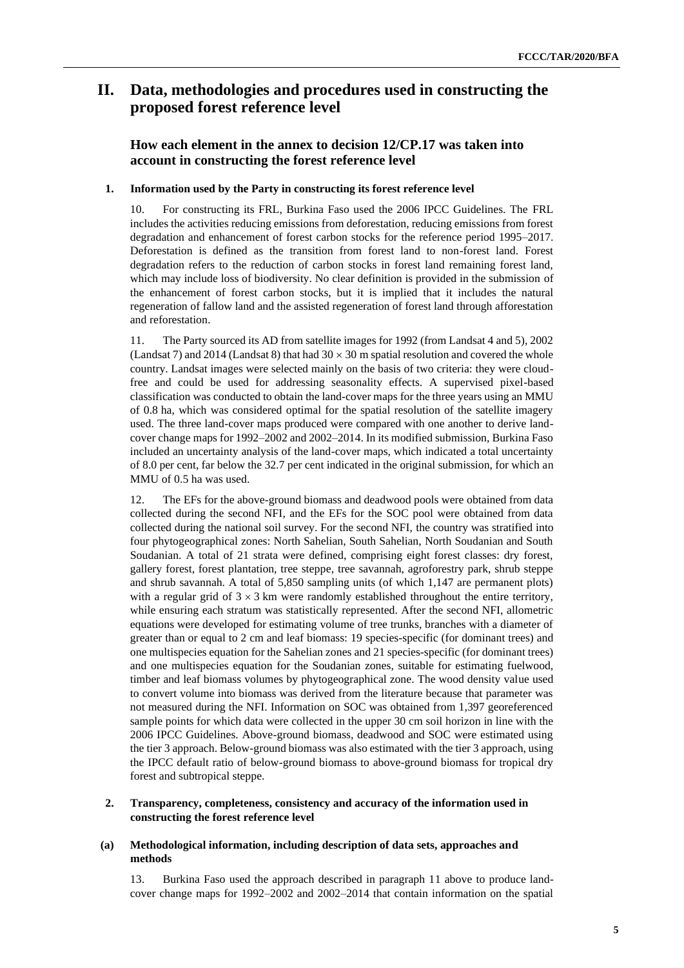# **II. Data, methodologies and procedures used in constructing the proposed forest reference level**

### **How each element in the annex to decision 12/CP.17 was taken into account in constructing the forest reference level**

#### **1. Information used by the Party in constructing its forest reference level**

10. For constructing its FRL, Burkina Faso used the 2006 IPCC Guidelines. The FRL includes the activities reducing emissions from deforestation, reducing emissions from forest degradation and enhancement of forest carbon stocks for the reference period 1995–2017. Deforestation is defined as the transition from forest land to non-forest land. Forest degradation refers to the reduction of carbon stocks in forest land remaining forest land, which may include loss of biodiversity. No clear definition is provided in the submission of the enhancement of forest carbon stocks, but it is implied that it includes the natural regeneration of fallow land and the assisted regeneration of forest land through afforestation and reforestation.

11. The Party sourced its AD from satellite images for 1992 (from Landsat 4 and 5), 2002 (Landsat 7) and 2014 (Landsat 8) that had  $30 \times 30$  m spatial resolution and covered the whole country. Landsat images were selected mainly on the basis of two criteria: they were cloudfree and could be used for addressing seasonality effects. A supervised pixel-based classification was conducted to obtain the land-cover maps for the three years using an MMU of 0.8 ha, which was considered optimal for the spatial resolution of the satellite imagery used. The three land-cover maps produced were compared with one another to derive landcover change maps for 1992–2002 and 2002–2014. In its modified submission, Burkina Faso included an uncertainty analysis of the land-cover maps, which indicated a total uncertainty of 8.0 per cent, far below the 32.7 per cent indicated in the original submission, for which an MMU of 0.5 ha was used.

12. The EFs for the above-ground biomass and deadwood pools were obtained from data collected during the second NFI, and the EFs for the SOC pool were obtained from data collected during the national soil survey. For the second NFI, the country was stratified into four phytogeographical zones: North Sahelian, South Sahelian, North Soudanian and South Soudanian. A total of 21 strata were defined, comprising eight forest classes: dry forest, gallery forest, forest plantation, tree steppe, tree savannah, agroforestry park, shrub steppe and shrub savannah. A total of 5,850 sampling units (of which 1,147 are permanent plots) with a regular grid of  $3 \times 3$  km were randomly established throughout the entire territory, while ensuring each stratum was statistically represented. After the second NFI, allometric equations were developed for estimating volume of tree trunks, branches with a diameter of greater than or equal to 2 cm and leaf biomass: 19 species-specific (for dominant trees) and one multispecies equation for the Sahelian zones and 21 species-specific (for dominant trees) and one multispecies equation for the Soudanian zones, suitable for estimating fuelwood, timber and leaf biomass volumes by phytogeographical zone. The wood density value used to convert volume into biomass was derived from the literature because that parameter was not measured during the NFI. Information on SOC was obtained from 1,397 georeferenced sample points for which data were collected in the upper 30 cm soil horizon in line with the 2006 IPCC Guidelines. Above-ground biomass, deadwood and SOC were estimated using the tier 3 approach. Below-ground biomass was also estimated with the tier 3 approach, using the IPCC default ratio of below-ground biomass to above-ground biomass for tropical dry forest and subtropical steppe.

#### **2. Transparency, completeness, consistency and accuracy of the information used in constructing the forest reference level**

#### **(a) Methodological information, including description of data sets, approaches and methods**

13. Burkina Faso used the approach described in paragraph 11 above to produce landcover change maps for 1992–2002 and 2002–2014 that contain information on the spatial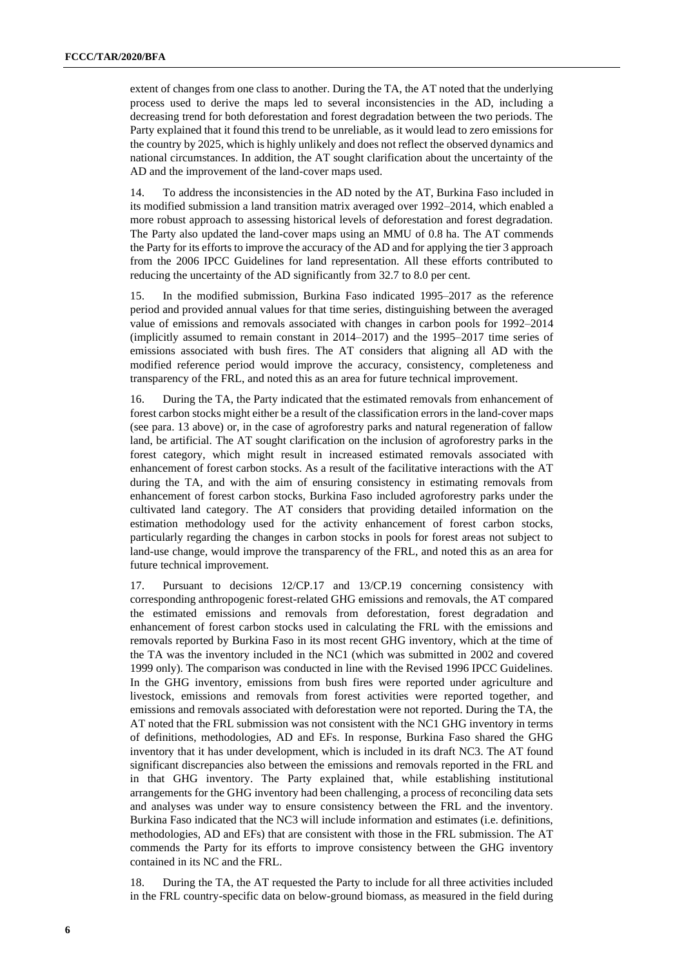extent of changes from one class to another. During the TA, the AT noted that the underlying process used to derive the maps led to several inconsistencies in the AD, including a decreasing trend for both deforestation and forest degradation between the two periods. The Party explained that it found this trend to be unreliable, as it would lead to zero emissions for the country by 2025, which is highly unlikely and does not reflect the observed dynamics and national circumstances. In addition, the AT sought clarification about the uncertainty of the AD and the improvement of the land-cover maps used.

14. To address the inconsistencies in the AD noted by the AT, Burkina Faso included in its modified submission a land transition matrix averaged over 1992–2014, which enabled a more robust approach to assessing historical levels of deforestation and forest degradation. The Party also updated the land-cover maps using an MMU of 0.8 ha. The AT commends the Party for its efforts to improve the accuracy of the AD and for applying the tier 3 approach from the 2006 IPCC Guidelines for land representation. All these efforts contributed to reducing the uncertainty of the AD significantly from 32.7 to 8.0 per cent.

15. In the modified submission, Burkina Faso indicated 1995–2017 as the reference period and provided annual values for that time series, distinguishing between the averaged value of emissions and removals associated with changes in carbon pools for 1992–2014 (implicitly assumed to remain constant in 2014–2017) and the 1995–2017 time series of emissions associated with bush fires. The AT considers that aligning all AD with the modified reference period would improve the accuracy, consistency, completeness and transparency of the FRL, and noted this as an area for future technical improvement.

16. During the TA, the Party indicated that the estimated removals from enhancement of forest carbon stocks might either be a result of the classification errors in the land-cover maps (see para. 13 above) or, in the case of agroforestry parks and natural regeneration of fallow land, be artificial. The AT sought clarification on the inclusion of agroforestry parks in the forest category, which might result in increased estimated removals associated with enhancement of forest carbon stocks. As a result of the facilitative interactions with the AT during the TA, and with the aim of ensuring consistency in estimating removals from enhancement of forest carbon stocks, Burkina Faso included agroforestry parks under the cultivated land category. The AT considers that providing detailed information on the estimation methodology used for the activity enhancement of forest carbon stocks, particularly regarding the changes in carbon stocks in pools for forest areas not subject to land-use change, would improve the transparency of the FRL, and noted this as an area for future technical improvement.

17. Pursuant to decisions 12/CP.17 and 13/CP.19 concerning consistency with corresponding anthropogenic forest-related GHG emissions and removals, the AT compared the estimated emissions and removals from deforestation, forest degradation and enhancement of forest carbon stocks used in calculating the FRL with the emissions and removals reported by Burkina Faso in its most recent GHG inventory, which at the time of the TA was the inventory included in the NC1 (which was submitted in 2002 and covered 1999 only). The comparison was conducted in line with the Revised 1996 IPCC Guidelines. In the GHG inventory, emissions from bush fires were reported under agriculture and livestock, emissions and removals from forest activities were reported together, and emissions and removals associated with deforestation were not reported. During the TA, the AT noted that the FRL submission was not consistent with the NC1 GHG inventory in terms of definitions, methodologies, AD and EFs. In response, Burkina Faso shared the GHG inventory that it has under development, which is included in its draft NC3. The AT found significant discrepancies also between the emissions and removals reported in the FRL and in that GHG inventory. The Party explained that, while establishing institutional arrangements for the GHG inventory had been challenging, a process of reconciling data sets and analyses was under way to ensure consistency between the FRL and the inventory. Burkina Faso indicated that the NC3 will include information and estimates (i.e. definitions, methodologies, AD and EFs) that are consistent with those in the FRL submission. The AT commends the Party for its efforts to improve consistency between the GHG inventory contained in its NC and the FRL.

18. During the TA, the AT requested the Party to include for all three activities included in the FRL country-specific data on below-ground biomass, as measured in the field during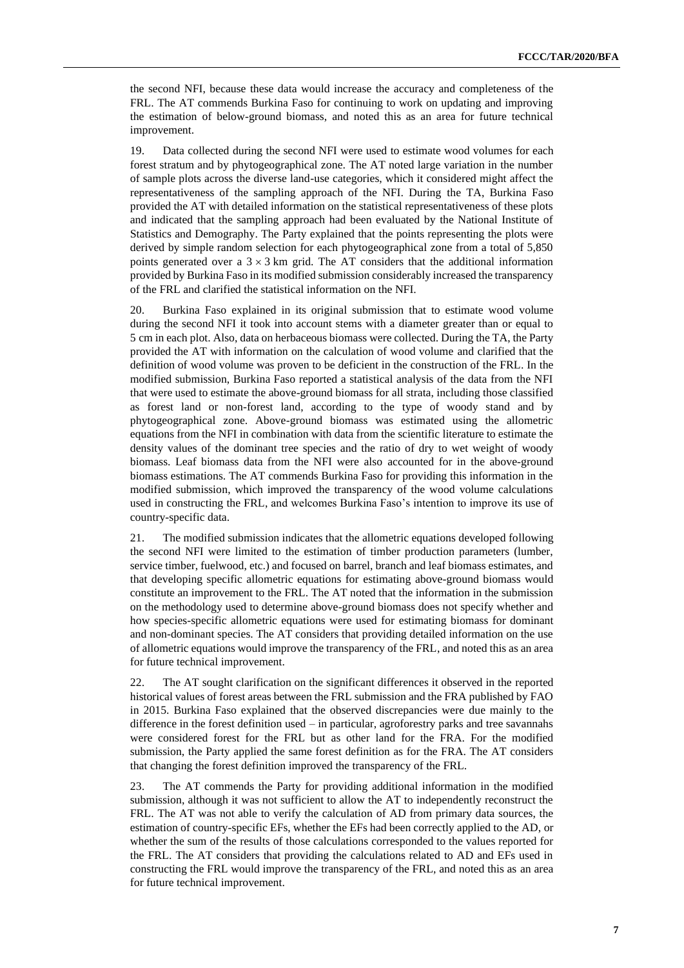the second NFI, because these data would increase the accuracy and completeness of the FRL. The AT commends Burkina Faso for continuing to work on updating and improving the estimation of below-ground biomass, and noted this as an area for future technical improvement.

19. Data collected during the second NFI were used to estimate wood volumes for each forest stratum and by phytogeographical zone. The AT noted large variation in the number of sample plots across the diverse land-use categories, which it considered might affect the representativeness of the sampling approach of the NFI. During the TA, Burkina Faso provided the AT with detailed information on the statistical representativeness of these plots and indicated that the sampling approach had been evaluated by the National Institute of Statistics and Demography. The Party explained that the points representing the plots were derived by simple random selection for each phytogeographical zone from a total of 5,850 points generated over a  $3 \times 3$  km grid. The AT considers that the additional information provided by Burkina Faso in its modified submission considerably increased the transparency of the FRL and clarified the statistical information on the NFI.

20. Burkina Faso explained in its original submission that to estimate wood volume during the second NFI it took into account stems with a diameter greater than or equal to 5 cm in each plot. Also, data on herbaceous biomass were collected. During the TA, the Party provided the AT with information on the calculation of wood volume and clarified that the definition of wood volume was proven to be deficient in the construction of the FRL. In the modified submission, Burkina Faso reported a statistical analysis of the data from the NFI that were used to estimate the above-ground biomass for all strata, including those classified as forest land or non-forest land, according to the type of woody stand and by phytogeographical zone. Above-ground biomass was estimated using the allometric equations from the NFI in combination with data from the scientific literature to estimate the density values of the dominant tree species and the ratio of dry to wet weight of woody biomass. Leaf biomass data from the NFI were also accounted for in the above-ground biomass estimations. The AT commends Burkina Faso for providing this information in the modified submission, which improved the transparency of the wood volume calculations used in constructing the FRL, and welcomes Burkina Faso's intention to improve its use of country-specific data.

21. The modified submission indicates that the allometric equations developed following the second NFI were limited to the estimation of timber production parameters (lumber, service timber, fuelwood, etc.) and focused on barrel, branch and leaf biomass estimates, and that developing specific allometric equations for estimating above-ground biomass would constitute an improvement to the FRL. The AT noted that the information in the submission on the methodology used to determine above-ground biomass does not specify whether and how species-specific allometric equations were used for estimating biomass for dominant and non-dominant species. The AT considers that providing detailed information on the use of allometric equations would improve the transparency of the FRL, and noted this as an area for future technical improvement.

22. The AT sought clarification on the significant differences it observed in the reported historical values of forest areas between the FRL submission and the FRA published by FAO in 2015. Burkina Faso explained that the observed discrepancies were due mainly to the difference in the forest definition used – in particular, agroforestry parks and tree savannahs were considered forest for the FRL but as other land for the FRA. For the modified submission, the Party applied the same forest definition as for the FRA. The AT considers that changing the forest definition improved the transparency of the FRL.

23. The AT commends the Party for providing additional information in the modified submission, although it was not sufficient to allow the AT to independently reconstruct the FRL. The AT was not able to verify the calculation of AD from primary data sources, the estimation of country-specific EFs, whether the EFs had been correctly applied to the AD, or whether the sum of the results of those calculations corresponded to the values reported for the FRL. The AT considers that providing the calculations related to AD and EFs used in constructing the FRL would improve the transparency of the FRL, and noted this as an area for future technical improvement.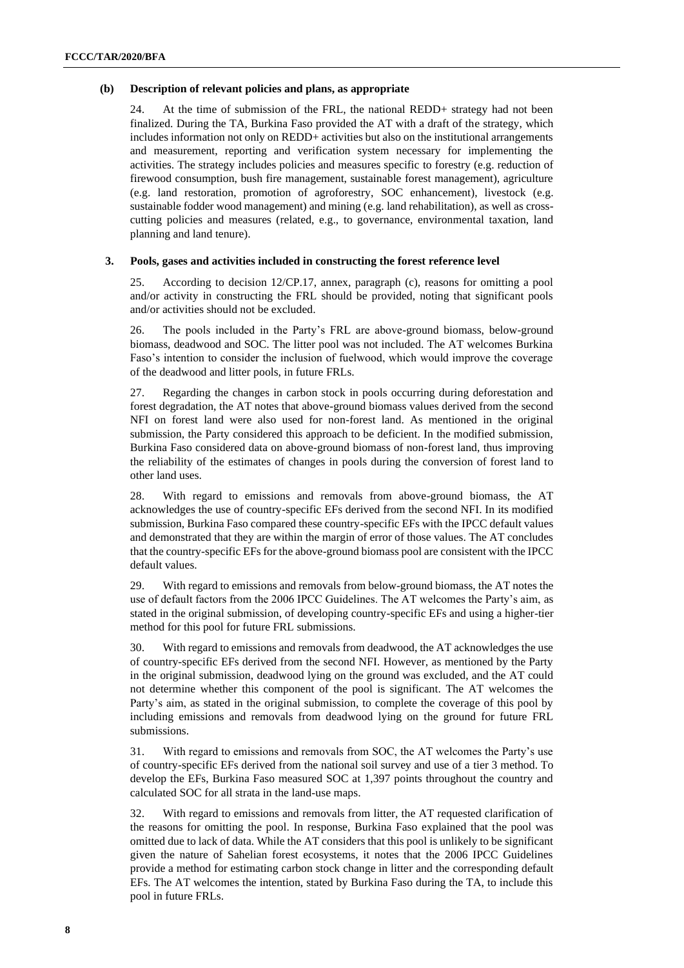#### **(b) Description of relevant policies and plans, as appropriate**

24. At the time of submission of the FRL, the national REDD+ strategy had not been finalized. During the TA, Burkina Faso provided the AT with a draft of the strategy, which includes information not only on REDD+ activities but also on the institutional arrangements and measurement, reporting and verification system necessary for implementing the activities. The strategy includes policies and measures specific to forestry (e.g. reduction of firewood consumption, bush fire management, sustainable forest management), agriculture (e.g. land restoration, promotion of agroforestry, SOC enhancement), livestock (e.g. sustainable fodder wood management) and mining (e.g. land rehabilitation), as well as crosscutting policies and measures (related, e.g., to governance, environmental taxation, land planning and land tenure).

#### **3. Pools, gases and activities included in constructing the forest reference level**

25. According to decision 12/CP.17, annex, paragraph (c), reasons for omitting a pool and/or activity in constructing the FRL should be provided, noting that significant pools and/or activities should not be excluded.

26. The pools included in the Party's FRL are above-ground biomass, below-ground biomass, deadwood and SOC. The litter pool was not included. The AT welcomes Burkina Faso's intention to consider the inclusion of fuelwood, which would improve the coverage of the deadwood and litter pools, in future FRLs.

27. Regarding the changes in carbon stock in pools occurring during deforestation and forest degradation, the AT notes that above-ground biomass values derived from the second NFI on forest land were also used for non-forest land. As mentioned in the original submission, the Party considered this approach to be deficient. In the modified submission, Burkina Faso considered data on above-ground biomass of non-forest land, thus improving the reliability of the estimates of changes in pools during the conversion of forest land to other land uses.

28. With regard to emissions and removals from above-ground biomass, the AT acknowledges the use of country-specific EFs derived from the second NFI. In its modified submission, Burkina Faso compared these country-specific EFs with the IPCC default values and demonstrated that they are within the margin of error of those values. The AT concludes that the country-specific EFs for the above-ground biomass pool are consistent with the IPCC default values.

29. With regard to emissions and removals from below-ground biomass, the AT notes the use of default factors from the 2006 IPCC Guidelines. The AT welcomes the Party's aim, as stated in the original submission, of developing country-specific EFs and using a higher-tier method for this pool for future FRL submissions.

30. With regard to emissions and removals from deadwood, the AT acknowledges the use of country-specific EFs derived from the second NFI. However, as mentioned by the Party in the original submission, deadwood lying on the ground was excluded, and the AT could not determine whether this component of the pool is significant. The AT welcomes the Party's aim, as stated in the original submission, to complete the coverage of this pool by including emissions and removals from deadwood lying on the ground for future FRL submissions.

31. With regard to emissions and removals from SOC, the AT welcomes the Party's use of country-specific EFs derived from the national soil survey and use of a tier 3 method. To develop the EFs, Burkina Faso measured SOC at 1,397 points throughout the country and calculated SOC for all strata in the land-use maps.

32. With regard to emissions and removals from litter, the AT requested clarification of the reasons for omitting the pool. In response, Burkina Faso explained that the pool was omitted due to lack of data. While the AT considers that this pool is unlikely to be significant given the nature of Sahelian forest ecosystems, it notes that the 2006 IPCC Guidelines provide a method for estimating carbon stock change in litter and the corresponding default EFs. The AT welcomes the intention, stated by Burkina Faso during the TA, to include this pool in future FRLs.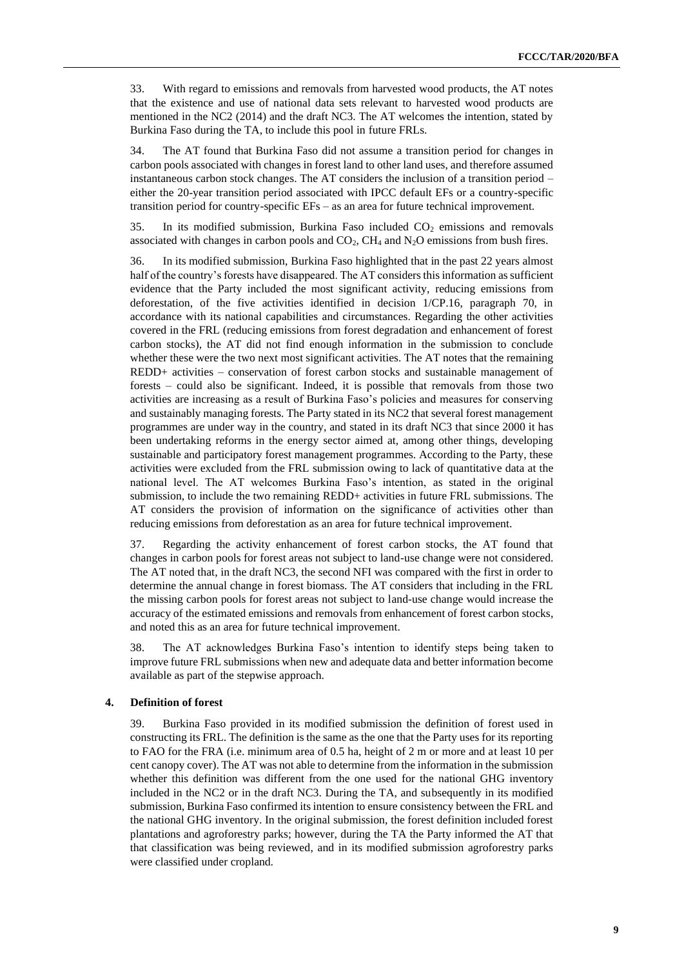33. With regard to emissions and removals from harvested wood products, the AT notes that the existence and use of national data sets relevant to harvested wood products are mentioned in the NC2 (2014) and the draft NC3. The AT welcomes the intention, stated by Burkina Faso during the TA, to include this pool in future FRLs.

34. The AT found that Burkina Faso did not assume a transition period for changes in carbon pools associated with changes in forest land to other land uses, and therefore assumed instantaneous carbon stock changes. The AT considers the inclusion of a transition period – either the 20-year transition period associated with IPCC default EFs or a country-specific transition period for country-specific EFs – as an area for future technical improvement.

35. In its modified submission, Burkina Faso included  $CO<sub>2</sub>$  emissions and removals associated with changes in carbon pools and  $CO<sub>2</sub>$ ,  $CH<sub>4</sub>$  and  $N<sub>2</sub>O$  emissions from bush fires.

36. In its modified submission, Burkina Faso highlighted that in the past 22 years almost half of the country's forests have disappeared. The AT considers this information as sufficient evidence that the Party included the most significant activity, reducing emissions from deforestation, of the five activities identified in decision 1/CP.16, paragraph 70, in accordance with its national capabilities and circumstances. Regarding the other activities covered in the FRL (reducing emissions from forest degradation and enhancement of forest carbon stocks), the AT did not find enough information in the submission to conclude whether these were the two next most significant activities. The AT notes that the remaining REDD+ activities – conservation of forest carbon stocks and sustainable management of forests – could also be significant. Indeed, it is possible that removals from those two activities are increasing as a result of Burkina Faso's policies and measures for conserving and sustainably managing forests. The Party stated in its NC2 that several forest management programmes are under way in the country, and stated in its draft NC3 that since 2000 it has been undertaking reforms in the energy sector aimed at, among other things, developing sustainable and participatory forest management programmes. According to the Party, these activities were excluded from the FRL submission owing to lack of quantitative data at the national level. The AT welcomes Burkina Faso's intention, as stated in the original submission, to include the two remaining REDD+ activities in future FRL submissions. The AT considers the provision of information on the significance of activities other than reducing emissions from deforestation as an area for future technical improvement.

37. Regarding the activity enhancement of forest carbon stocks, the AT found that changes in carbon pools for forest areas not subject to land-use change were not considered. The AT noted that, in the draft NC3, the second NFI was compared with the first in order to determine the annual change in forest biomass. The AT considers that including in the FRL the missing carbon pools for forest areas not subject to land-use change would increase the accuracy of the estimated emissions and removals from enhancement of forest carbon stocks, and noted this as an area for future technical improvement.

38. The AT acknowledges Burkina Faso's intention to identify steps being taken to improve future FRL submissions when new and adequate data and better information become available as part of the stepwise approach.

#### **4. Definition of forest**

39. Burkina Faso provided in its modified submission the definition of forest used in constructing its FRL. The definition is the same as the one that the Party uses for its reporting to FAO for the FRA (i.e. minimum area of 0.5 ha, height of 2 m or more and at least 10 per cent canopy cover). The AT was not able to determine from the information in the submission whether this definition was different from the one used for the national GHG inventory included in the NC2 or in the draft NC3. During the TA, and subsequently in its modified submission, Burkina Faso confirmed its intention to ensure consistency between the FRL and the national GHG inventory. In the original submission, the forest definition included forest plantations and agroforestry parks; however, during the TA the Party informed the AT that that classification was being reviewed, and in its modified submission agroforestry parks were classified under cropland.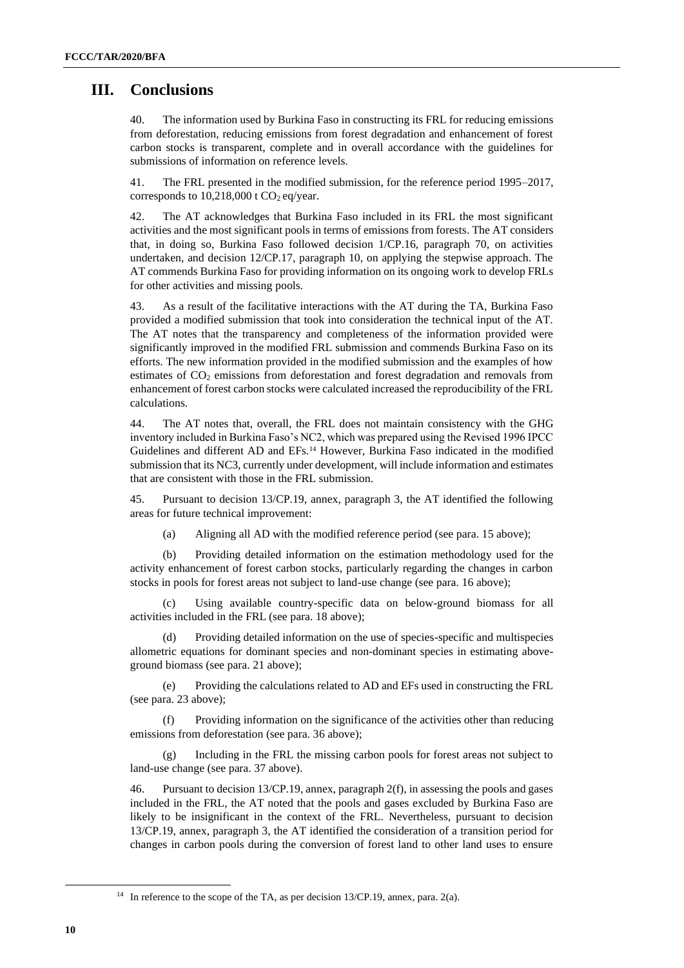# **III. Conclusions**

40. The information used by Burkina Faso in constructing its FRL for reducing emissions from deforestation, reducing emissions from forest degradation and enhancement of forest carbon stocks is transparent, complete and in overall accordance with the guidelines for submissions of information on reference levels.

41. The FRL presented in the modified submission, for the reference period 1995–2017, corresponds to  $10,218,000$  t CO<sub>2</sub> eq/year.

42. The AT acknowledges that Burkina Faso included in its FRL the most significant activities and the most significant pools in terms of emissions from forests. The AT considers that, in doing so, Burkina Faso followed decision 1/CP.16, paragraph 70, on activities undertaken, and decision 12/CP.17, paragraph 10, on applying the stepwise approach. The AT commends Burkina Faso for providing information on its ongoing work to develop FRLs for other activities and missing pools.

43. As a result of the facilitative interactions with the AT during the TA, Burkina Faso provided a modified submission that took into consideration the technical input of the AT. The AT notes that the transparency and completeness of the information provided were significantly improved in the modified FRL submission and commends Burkina Faso on its efforts. The new information provided in the modified submission and the examples of how estimates of CO<sub>2</sub> emissions from deforestation and forest degradation and removals from enhancement of forest carbon stocks were calculated increased the reproducibility of the FRL calculations.

44. The AT notes that, overall, the FRL does not maintain consistency with the GHG inventory included in Burkina Faso's NC2, which was prepared using the Revised 1996 IPCC Guidelines and different AD and EFs.<sup>14</sup> However, Burkina Faso indicated in the modified submission that its NC3, currently under development, will include information and estimates that are consistent with those in the FRL submission.

45. Pursuant to decision 13/CP.19, annex, paragraph 3, the AT identified the following areas for future technical improvement:

(a) Aligning all AD with the modified reference period (see para. 15 above);

(b) Providing detailed information on the estimation methodology used for the activity enhancement of forest carbon stocks, particularly regarding the changes in carbon stocks in pools for forest areas not subject to land-use change (see para. 16 above);

(c) Using available country-specific data on below-ground biomass for all activities included in the FRL (see para. 18 above);

Providing detailed information on the use of species-specific and multispecies allometric equations for dominant species and non-dominant species in estimating aboveground biomass (see para. 21 above);

(e) Providing the calculations related to AD and EFs used in constructing the FRL (see para. 23 above);

(f) Providing information on the significance of the activities other than reducing emissions from deforestation (see para. 36 above);

(g) Including in the FRL the missing carbon pools for forest areas not subject to land-use change (see para. 37 above).

46. Pursuant to decision 13/CP.19, annex, paragraph 2(f), in assessing the pools and gases included in the FRL, the AT noted that the pools and gases excluded by Burkina Faso are likely to be insignificant in the context of the FRL. Nevertheless, pursuant to decision 13/CP.19, annex, paragraph 3, the AT identified the consideration of a transition period for changes in carbon pools during the conversion of forest land to other land uses to ensure

<sup>&</sup>lt;sup>14</sup> In reference to the scope of the TA, as per decision 13/CP.19, annex, para. 2(a).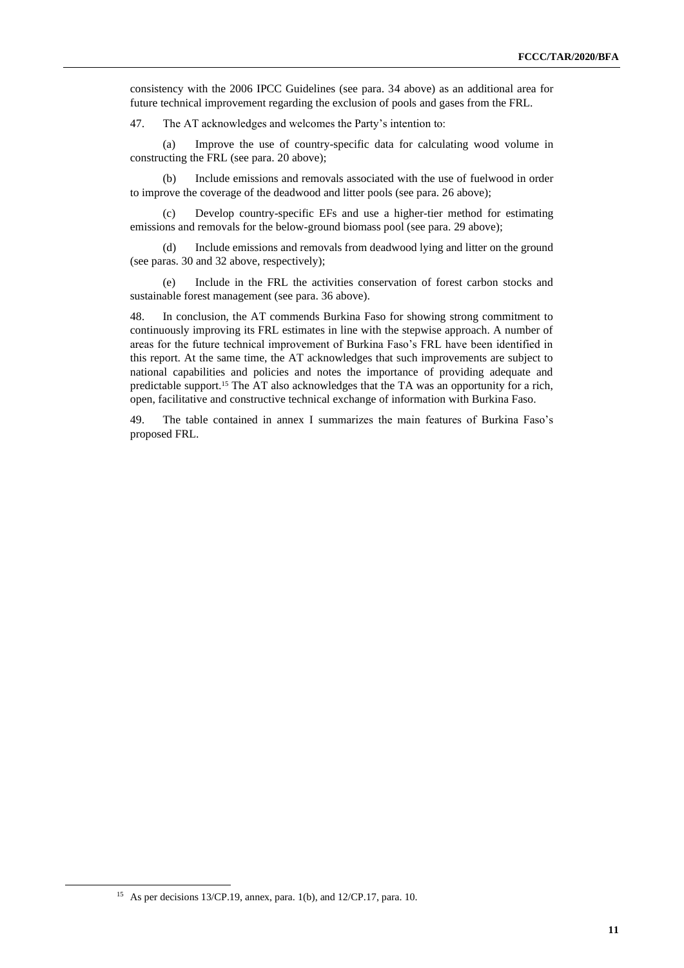consistency with the 2006 IPCC Guidelines (see para. 34 above) as an additional area for future technical improvement regarding the exclusion of pools and gases from the FRL.

47. The AT acknowledges and welcomes the Party's intention to:

(a) Improve the use of country-specific data for calculating wood volume in constructing the FRL (see para. 20 above);

(b) Include emissions and removals associated with the use of fuelwood in order to improve the coverage of the deadwood and litter pools (see para. 26 above);

(c) Develop country-specific EFs and use a higher-tier method for estimating emissions and removals for the below-ground biomass pool (see para. 29 above);

(d) Include emissions and removals from deadwood lying and litter on the ground (see paras. 30 and 32 above, respectively);

(e) Include in the FRL the activities conservation of forest carbon stocks and sustainable forest management (see para. 36 above).

48. In conclusion, the AT commends Burkina Faso for showing strong commitment to continuously improving its FRL estimates in line with the stepwise approach. A number of areas for the future technical improvement of Burkina Faso's FRL have been identified in this report. At the same time, the AT acknowledges that such improvements are subject to national capabilities and policies and notes the importance of providing adequate and predictable support.<sup>15</sup> The AT also acknowledges that the TA was an opportunity for a rich, open, facilitative and constructive technical exchange of information with Burkina Faso.

49. The table contained in annex I summarizes the main features of Burkina Faso's proposed FRL.

<sup>15</sup> As per decisions 13/CP.19, annex, para. 1(b), and 12/CP.17, para. 10.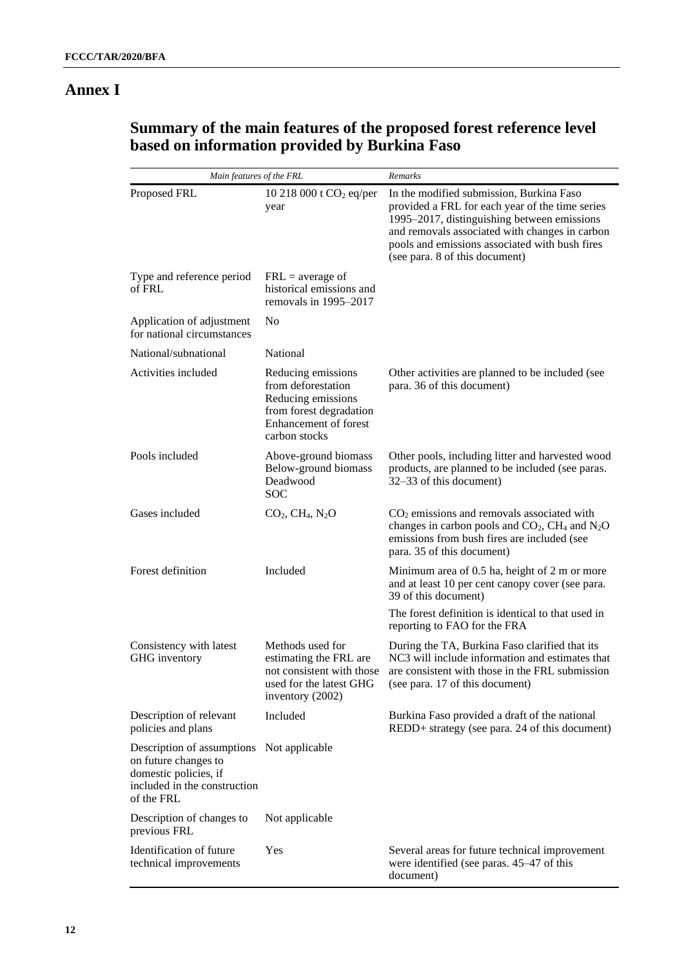# **Annex I**

# **Summary of the main features of the proposed forest reference level based on information provided by Burkina Faso**

| Main features of the FRL                                                                                                                 |                                                                                                                                            | Remarks                                                                                                                                                                                                                                                                          |
|------------------------------------------------------------------------------------------------------------------------------------------|--------------------------------------------------------------------------------------------------------------------------------------------|----------------------------------------------------------------------------------------------------------------------------------------------------------------------------------------------------------------------------------------------------------------------------------|
| Proposed FRL                                                                                                                             | 10 218 000 t $CO2$ eq/per<br>year                                                                                                          | In the modified submission, Burkina Faso<br>provided a FRL for each year of the time series<br>1995–2017, distinguishing between emissions<br>and removals associated with changes in carbon<br>pools and emissions associated with bush fires<br>(see para. 8 of this document) |
| Type and reference period<br>of FRL                                                                                                      | $FRL = average of$<br>historical emissions and<br>removals in 1995–2017                                                                    |                                                                                                                                                                                                                                                                                  |
| Application of adjustment<br>for national circumstances                                                                                  | No                                                                                                                                         |                                                                                                                                                                                                                                                                                  |
| National/subnational                                                                                                                     | National                                                                                                                                   |                                                                                                                                                                                                                                                                                  |
| Activities included                                                                                                                      | Reducing emissions<br>from deforestation<br>Reducing emissions<br>from forest degradation<br><b>Enhancement</b> of forest<br>carbon stocks | Other activities are planned to be included (see<br>para. 36 of this document)                                                                                                                                                                                                   |
| Pools included                                                                                                                           | Above-ground biomass<br>Below-ground biomass<br>Deadwood<br><b>SOC</b>                                                                     | Other pools, including litter and harvested wood<br>products, are planned to be included (see paras.<br>32–33 of this document)                                                                                                                                                  |
| Gases included                                                                                                                           | $CO2, CH4, N2O$                                                                                                                            | $CO2$ emissions and removals associated with<br>changes in carbon pools and $CO2$ , CH <sub>4</sub> and N <sub>2</sub> O<br>emissions from bush fires are included (see<br>para. 35 of this document)                                                                            |
| Forest definition                                                                                                                        | Included                                                                                                                                   | Minimum area of 0.5 ha, height of 2 m or more<br>and at least 10 per cent canopy cover (see para.<br>39 of this document)                                                                                                                                                        |
|                                                                                                                                          |                                                                                                                                            | The forest definition is identical to that used in<br>reporting to FAO for the FRA                                                                                                                                                                                               |
| Consistency with latest<br>GHG inventory                                                                                                 | Methods used for<br>estimating the FRL are<br>not consistent with those<br>used for the latest GHG<br>inventory (2002)                     | During the TA, Burkina Faso clarified that its<br>NC3 will include information and estimates that<br>are consistent with those in the FRL submission<br>(see para. 17 of this document)                                                                                          |
| Description of relevant<br>policies and plans                                                                                            | Included                                                                                                                                   | Burkina Faso provided a draft of the national<br>REDD+ strategy (see para. 24 of this document)                                                                                                                                                                                  |
| Description of assumptions Not applicable<br>on future changes to<br>domestic policies, if<br>included in the construction<br>of the FRL |                                                                                                                                            |                                                                                                                                                                                                                                                                                  |
| Description of changes to<br>previous FRL                                                                                                | Not applicable                                                                                                                             |                                                                                                                                                                                                                                                                                  |
| Identification of future<br>technical improvements                                                                                       | Yes                                                                                                                                        | Several areas for future technical improvement<br>were identified (see paras. 45–47 of this<br>document)                                                                                                                                                                         |